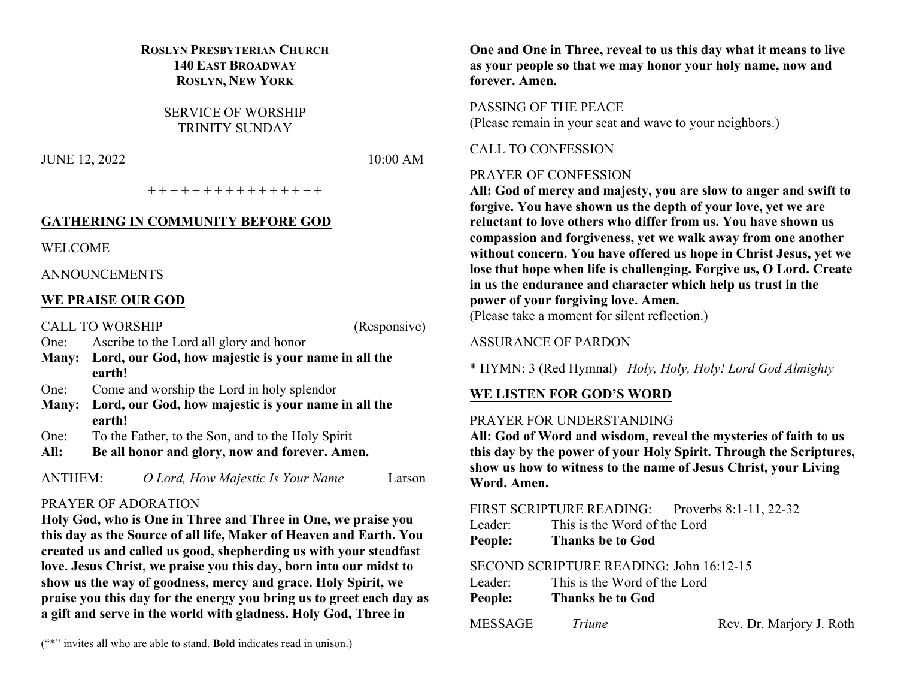## **ROSLYN PRESBYTERIAN CHURCH 140 EAST BROADWAY ROSLYN, NEW YORK**

SERVICE OF WORSHIP TRINITY SUNDAY

JUNE 12, 2022 10:00 AM

+ + + + + + + + + + + + + + + +

### **GATHERING IN COMMUNITY BEFORE GOD**

WELCOME

ANNOUNCEMENTS

### **WE PRAISE OUR GOD**

CALL TO WORSHIP (Responsive)

One: Ascribe to the Lord all glory and honor

- **Many: Lord, our God, how majestic is your name in all the earth!**
- One: Come and worship the Lord in holy splendor
- **Many: Lord, our God, how majestic is your name in all the earth!**
- One: To the Father, to the Son, and to the Holy Spirit
- **All: Be all honor and glory, now and forever. Amen.**

ANTHEM: *O Lord, How Majestic Is Your Name* Larson

# PRAYER OF ADORATION

**Holy God, who is One in Three and Three in One, we praise you this day as the Source of all life, Maker of Heaven and Earth. You created us and called us good, shepherding us with your steadfast love. Jesus Christ, we praise you this day, born into our midst to show us the way of goodness, mercy and grace. Holy Spirit, we praise you this day for the energy you bring us to greet each day as a gift and serve in the world with gladness. Holy God, Three in** 

**One and One in Three, reveal to us this day what it means to live as your people so that we may honor your holy name, now and forever. Amen.**

#### PASSING OF THE PEACE

(Please remain in your seat and wave to your neighbors.)

CALL TO CONFESSION

### PRAYER OF CONFESSION

**All: God of mercy and majesty, you are slow to anger and swift to forgive. You have shown us the depth of your love, yet we are reluctant to love others who differ from us. You have shown us compassion and forgiveness, yet we walk away from one another without concern. You have offered us hope in Christ Jesus, yet we lose that hope when life is challenging. Forgive us, O Lord. Create in us the endurance and character which help us trust in the power of your forgiving love. Amen.** (Please take a moment for silent reflection.)

#### ASSURANCE OF PARDON

\* HYMN: 3 (Red Hymnal) *Holy, Holy, Holy! Lord God Almighty*

### **WE LISTEN FOR GOD'S WORD**

#### PRAYER FOR UNDERSTANDING

**All: God of Word and wisdom, reveal the mysteries of faith to us this day by the power of your Holy Spirit. Through the Scriptures, show us how to witness to the name of Jesus Christ, your Living Word. Amen.**

|         | FIRST SCRIPTURE READING:     | Proverbs $8:1-11$ , 22-32 |
|---------|------------------------------|---------------------------|
| Leader: | This is the Word of the Lord |                           |

**People: Thanks be to God**

# SECOND SCRIPTURE READING: John 16:12-15

| Leader: |  |  |  | This is the Word of the Lord |
|---------|--|--|--|------------------------------|
|         |  |  |  |                              |

**People: Thanks be to God**

### MESSAGE *Triune* Rev. Dr. Marjory J. Roth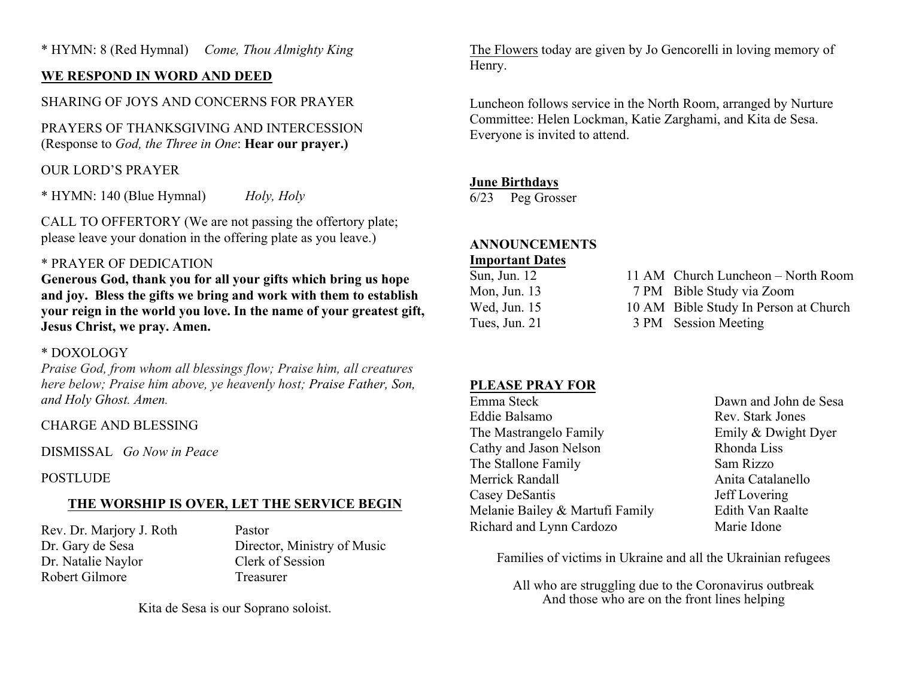# **WE RESPOND IN WORD AND DEED**

# SHARING OF JOYS AND CONCERNS FOR PRAYER

PRAYERS OF THANKSGIVING AND INTERCESSION (Response to *God, the Three in One*: **Hear our prayer.)**

# OUR LORD'S PRAYER

\* HYMN: 140 (Blue Hymnal) *Holy, Holy*

CALL TO OFFERTORY (We are not passing the offertory plate; please leave your donation in the offering plate as you leave.)

### \* PRAYER OF DEDICATION

**Generous God, thank you for all your gifts which bring us hope and joy. Bless the gifts we bring and work with them to establish your reign in the world you love. In the name of your greatest gift, Jesus Christ, we pray. Amen.**

#### \* DOXOLOGY

*Praise God, from whom all blessings flow; Praise him, all creatures here below; Praise him above, ye heavenly host; Praise Father, Son, and Holy Ghost. Amen.*

### CHARGE AND BLESSING

DISMISSAL *Go Now in Peace*

### POSTLUDE

# **THE WORSHIP IS OVER, LET THE SERVICE BEGIN**

Rev. Dr. Marjory J. Roth Pastor Dr. Natalie Naylor Clerk of Session Robert Gilmore Treasurer

Dr. Gary de Sesa Director, Ministry of Music

Kita de Sesa is our Soprano soloist.

The Flowers today are given by Jo Gencorelli in loving memory of Henry.

Luncheon follows service in the North Room, arranged by Nurture Committee: Helen Lockman, Katie Zarghami, and Kita de Sesa. Everyone is invited to attend.

### **June Birthdays**

6/23 Peg Grosser

# **ANNOUNCEMENTS**

#### **Important Dates**

| 11 AM Church Luncheon – North Room    |
|---------------------------------------|
| 7 PM Bible Study via Zoom             |
| 10 AM Bible Study In Person at Church |
| 3 PM Session Meeting                  |
|                                       |

# **PLEASE PRAY FOR**

Emma Steck Dawn and John de Sesa Eddie Balsamo Rev. Stark Jones The Mastrangelo Family **Emily & Dwight Dyer** Cathy and Jason Nelson Rhonda Liss The Stallone Family Sam Rizzo Merrick Randall **Anita Catalanello** Casey DeSantis Jeff Lovering Melanie Bailey & Martufi Family Edith Van Raalte Richard and Lynn Cardozo Marie Idone

Families of victims in Ukraine and all the Ukrainian refugees

All who are struggling due to the Coronavirus outbreak And those who are on the front lines helping